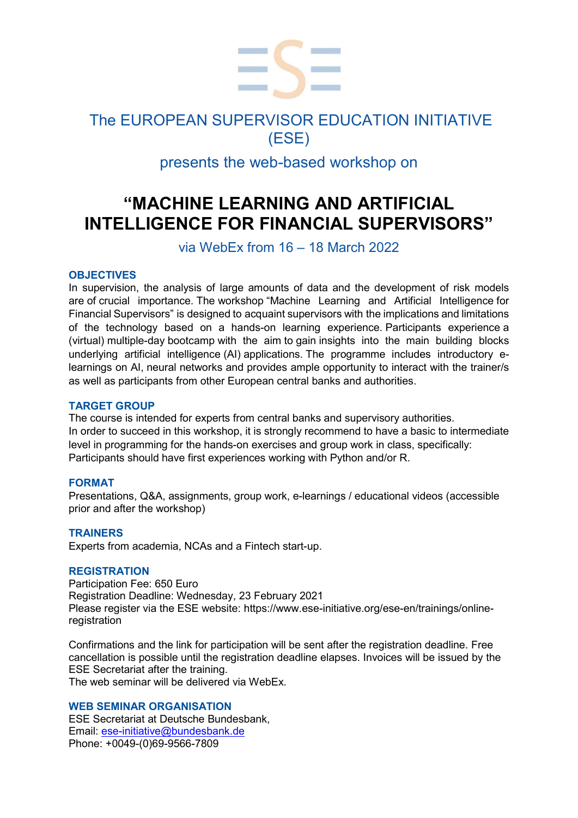

## The EUROPEAN SUPERVISOR EDUCATION INITIATIVE (ESE)

## presents the web-based workshop on

# "MACHINE LEARNING AND ARTIFICIAL INTELLIGENCE FOR FINANCIAL SUPERVISORS"

### via WebEx from 16 – 18 March 2022

### **OBJECTIVES**

In supervision, the analysis of large amounts of data and the development of risk models are of crucial importance. The workshop "Machine Learning and Artificial Intelligence for Financial Supervisors" is designed to acquaint supervisors with the implications and limitations of the technology based on a hands-on learning experience. Participants experience a (virtual) multiple-day bootcamp with the aim to gain insights into the main building blocks underlying artificial intelligence (AI) applications. The programme includes introductory elearnings on AI, neural networks and provides ample opportunity to interact with the trainer/s as well as participants from other European central banks and authorities.

### TARGET GROUP

The course is intended for experts from central banks and supervisory authorities. In order to succeed in this workshop, it is strongly recommend to have a basic to intermediate level in programming for the hands-on exercises and group work in class, specifically: Participants should have first experiences working with Python and/or R.

### FORMAT

Presentations, Q&A, assignments, group work, e-learnings / educational videos (accessible prior and after the workshop)

### **TRAINERS**

Experts from academia, NCAs and a Fintech start-up.

### REGISTRATION

Participation Fee: 650 Euro Registration Deadline: Wednesday, 23 February 2021 Please register via the ESE website: https://www.ese-initiative.org/ese-en/trainings/onlineregistration

Confirmations and the link for participation will be sent after the registration deadline. Free cancellation is possible until the registration deadline elapses. Invoices will be issued by the ESE Secretariat after the training. The web seminar will be delivered via WebEx.

### WEB SEMINAR ORGANISATION

ESE Secretariat at Deutsche Bundesbank, Email: ese-initiative@bundesbank.de Phone: +0049-(0)69-9566-7809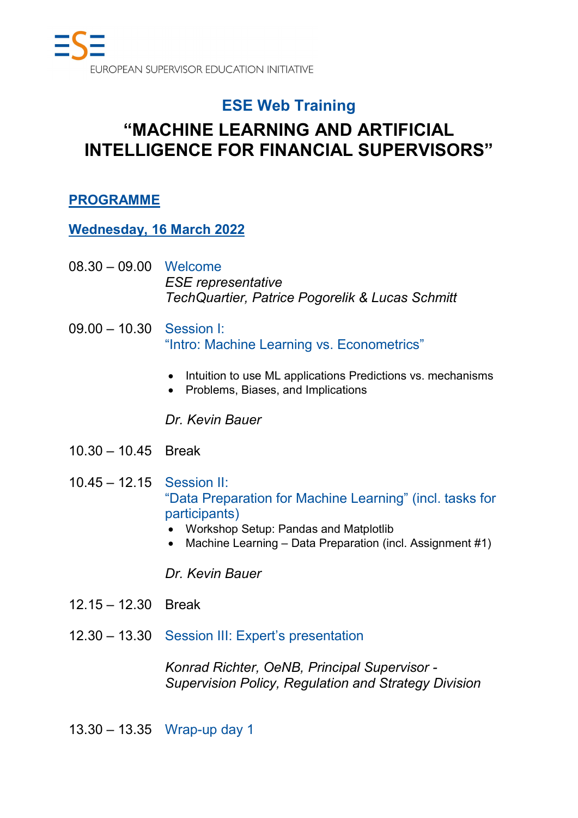## ESE Web Training

# "MACHINE LEARNING AND ARTIFICIAL INTELLIGENCE FOR FINANCIAL SUPERVISORS"

## PROGRAMME

Wednesday, 16 March 2022

- 08.30 09.00 Welcome ESE representative TechQuartier, Patrice Pogorelik & Lucas Schmitt
- 09.00 10.30 Session I: "Intro: Machine Learning vs. Econometrics"
	- Intuition to use ML applications Predictions vs. mechanisms
	- Problems, Biases, and Implications

## Dr. Kevin Bauer

- 10.30 10.45 Break
- 10.45 12.15 Session II: "Data Preparation for Machine Learning" (incl. tasks for participants)
	- Workshop Setup: Pandas and Matplotlib
	- Machine Learning Data Preparation (incl. Assignment #1)

Dr. Kevin Bauer

- 12.15 12.30 Break
- 12.30 13.30 Session III: Expert's presentation

Konrad Richter, OeNB, Principal Supervisor - Supervision Policy, Regulation and Strategy Division

13.30 – 13.35 Wrap-up day 1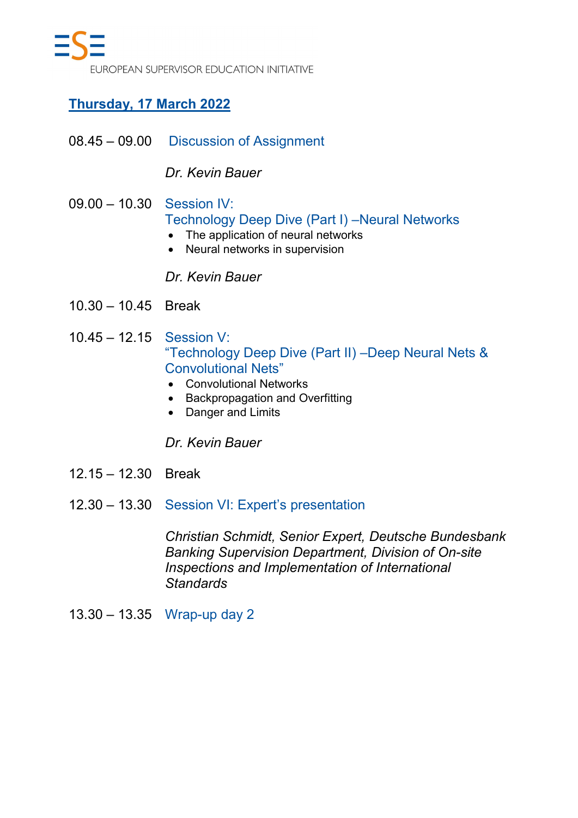## Thursday, 17 March 2022

08.45 – 09.00 Discussion of Assignment

## Dr. Kevin Bauer

- 09.00 10.30 Session IV: Technology Deep Dive (Part I) –Neural Networks
	- The application of neural networks
	- Neural networks in supervision

## Dr. Kevin Bauer

- 10.30 10.45 Break
- 10.45 12.15 Session V: "Technology Deep Dive (Part II) –Deep Neural Nets & Convolutional Nets"
	- Convolutional Networks
	- Backpropagation and Overfitting
	- Danger and Limits

Dr. Kevin Bauer

- 12.15 12.30 Break
- 12.30 13.30 Session VI: Expert's presentation

Christian Schmidt, Senior Expert, Deutsche Bundesbank Banking Supervision Department, Division of On-site Inspections and Implementation of International **Standards** 

13.30 – 13.35 Wrap-up day 2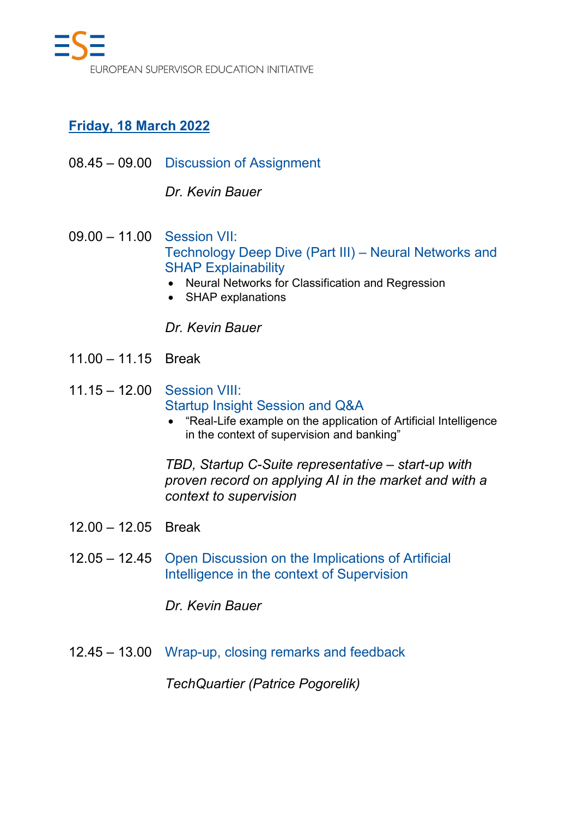## Friday, 18 March 2022

08.45 – 09.00 Discussion of Assignment

Dr. Kevin Bauer

- 09.00 11.00 Session VII: Technology Deep Dive (Part III) – Neural Networks and SHAP Explainability
	- Neural Networks for Classification and Regression
	- SHAP explanations

Dr. Kevin Bauer

- 11.00 11.15 Break
- 11.15 12.00 Session VIII: Startup Insight Session and Q&A
	- "Real-Life example on the application of Artificial Intelligence in the context of supervision and banking"

TBD, Startup C-Suite representative – start-up with proven record on applying AI in the market and with a context to supervision

- 12.00 12.05 Break
- 12.05 12.45 Open Discussion on the Implications of Artificial Intelligence in the context of Supervision

Dr. Kevin Bauer

12.45 – 13.00 Wrap-up, closing remarks and feedback

TechQuartier (Patrice Pogorelik)